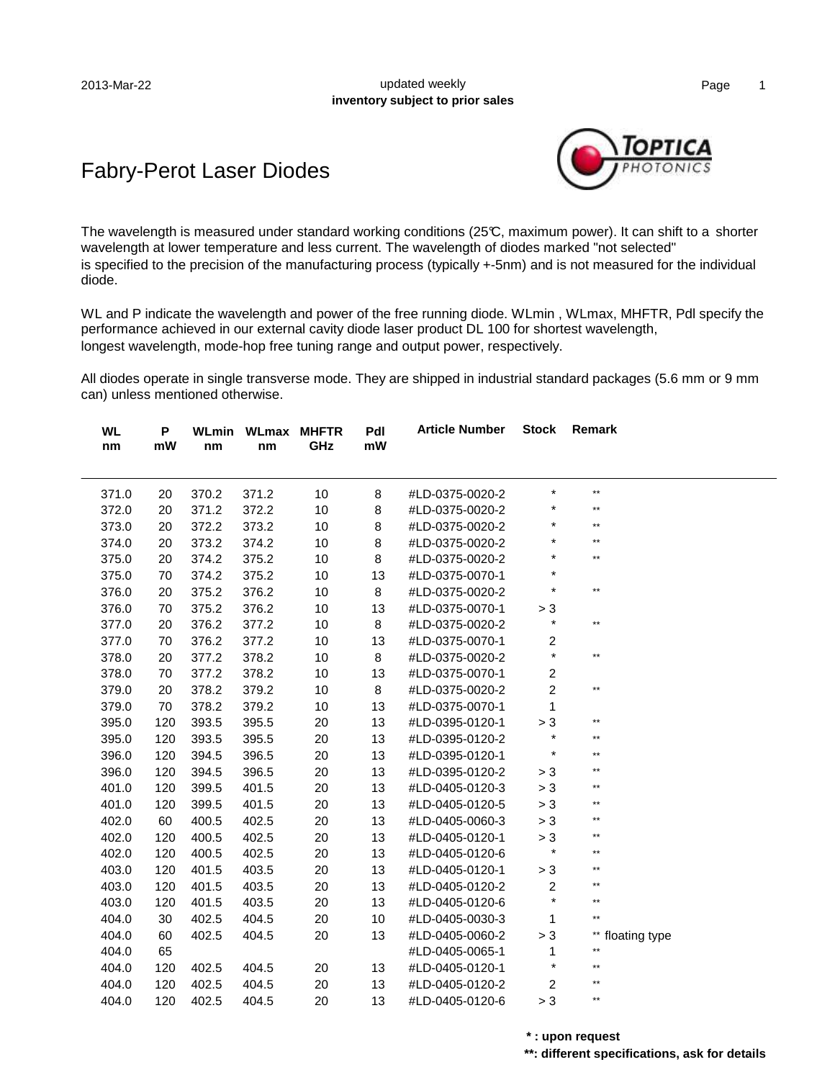#### 2013-Mar-22 **Decision Contract Contract Contract Contract Contract Contract Contract Contract Contract Contract Contract Contract Contract Contract Contract Contract Contract Contract Contract Contract Contract Contract Co inventory subject to prior sales**

### Fabry-Perot Laser Diodes



The wavelength is measured under standard working conditions (25°C, maximum power). It can shift to a shorter wavelength at lower temperature and less current. The wavelength of diodes marked "not selected" is specified to the precision of the manufacturing process (typically +-5nm) and is not measured for the individual diode.

WL and P indicate the wavelength and power of the free running diode. WLmin, WLmax, MHFTR, Pdl specify the performance achieved in our external cavity diode laser product DL 100 for shortest wavelength, longest wavelength, mode-hop free tuning range and output power, respectively.

All diodes operate in single transverse mode. They are shipped in industrial standard packages (5.6 mm or 9 mm can) unless mentioned otherwise.

| nm    | mW  | nm    | nm    | <b>WLmin WLmax MHFTR</b><br>GHz | Pdl<br>mW | <b>Article Number</b> | <b>Stock</b>     | Remark           |
|-------|-----|-------|-------|---------------------------------|-----------|-----------------------|------------------|------------------|
| 371.0 | 20  | 370.2 | 371.2 | 10                              | 8         | #LD-0375-0020-2       | *                | $\star\star$     |
| 372.0 | 20  | 371.2 | 372.2 | $10$                            | 8         | #LD-0375-0020-2       | $\star$          | $***$            |
| 373.0 | 20  | 372.2 | 373.2 | 10                              | 8         | #LD-0375-0020-2       | *                | $^{\star\star}$  |
| 374.0 | 20  | 373.2 | 374.2 | 10                              | 8         | #LD-0375-0020-2       | $\star$          | $***$            |
| 375.0 | 20  | 374.2 | 375.2 | 10                              | 8         | #LD-0375-0020-2       | *                | $\star\star$     |
| 375.0 | 70  | 374.2 | 375.2 | 10                              | 13        | #LD-0375-0070-1       | $^{\star}$       |                  |
| 376.0 | 20  | 375.2 | 376.2 | 10                              | 8         | #LD-0375-0020-2       | $^{\star}$       | $\star\star$     |
| 376.0 | 70  | 375.2 | 376.2 | 10                              | 13        | #LD-0375-0070-1       | > 3              |                  |
| 377.0 | 20  | 376.2 | 377.2 | 10                              | 8         | #LD-0375-0020-2       | $\star$          | $^{\star\star}$  |
| 377.0 | 70  | 376.2 | 377.2 | 10                              | 13        | #LD-0375-0070-1       | $\overline{c}$   |                  |
| 378.0 | 20  | 377.2 | 378.2 | 10                              | 8         | #LD-0375-0020-2       | $\star$          | $^{\star\star}$  |
| 378.0 | 70  | 377.2 | 378.2 | 10                              | 13        | #LD-0375-0070-1       | $\overline{c}$   |                  |
| 379.0 | 20  | 378.2 | 379.2 | 10                              | 8         | #LD-0375-0020-2       | $\overline{c}$   | $^{\star\star}$  |
| 379.0 | 70  | 378.2 | 379.2 | $10$                            | 13        | #LD-0375-0070-1       | $\mathbf{1}$     |                  |
| 395.0 | 120 | 393.5 | 395.5 | 20                              | 13        | #LD-0395-0120-1       | > 3              | $**$             |
| 395.0 | 120 | 393.5 | 395.5 | 20                              | 13        | #LD-0395-0120-2       | $\star$          | $**$             |
| 396.0 | 120 | 394.5 | 396.5 | 20                              | 13        | #LD-0395-0120-1       | $\star$          | $\star\star$     |
| 396.0 | 120 | 394.5 | 396.5 | 20                              | 13        | #LD-0395-0120-2       | > 3              | $**$             |
| 401.0 | 120 | 399.5 | 401.5 | 20                              | 13        | #LD-0405-0120-3       | $> 3$            | $\star\star$     |
| 401.0 | 120 | 399.5 | 401.5 | 20                              | 13        | #LD-0405-0120-5       | > 3              | $***$            |
| 402.0 | 60  | 400.5 | 402.5 | 20                              | 13        | #LD-0405-0060-3       | > 3              | $***$            |
| 402.0 | 120 | 400.5 | 402.5 | 20                              | 13        | #LD-0405-0120-1       | > 3              | $\star\star$     |
| 402.0 | 120 | 400.5 | 402.5 | 20                              | 13        | #LD-0405-0120-6       | $\star$          | $***$            |
| 403.0 | 120 | 401.5 | 403.5 | 20                              | 13        | #LD-0405-0120-1       | > 3              | $\star\star$     |
| 403.0 | 120 | 401.5 | 403.5 | 20                              | 13        | #LD-0405-0120-2       | $\boldsymbol{2}$ | $\star\star$     |
| 403.0 | 120 | 401.5 | 403.5 | 20                              | 13        | #LD-0405-0120-6       | $\star$          | $^{\star\star}$  |
| 404.0 | 30  | 402.5 | 404.5 | 20                              | 10        | #LD-0405-0030-3       | 1                | $\star\star$     |
| 404.0 | 60  | 402.5 | 404.5 | 20                              | 13        | #LD-0405-0060-2       | > 3              | ** floating type |
| 404.0 | 65  |       |       |                                 |           | #LD-0405-0065-1       | 1                | $\star\star$     |
| 404.0 | 120 | 402.5 | 404.5 | 20                              | 13        | #LD-0405-0120-1       | $\star$          | $**$             |
| 404.0 | 120 | 402.5 | 404.5 | 20                              | 13        | #LD-0405-0120-2       | $\overline{c}$   | **               |
| 404.0 | 120 | 402.5 | 404.5 | 20                              | 13        | #LD-0405-0120-6       | > 3              | $\star\star$     |

**\* : upon request**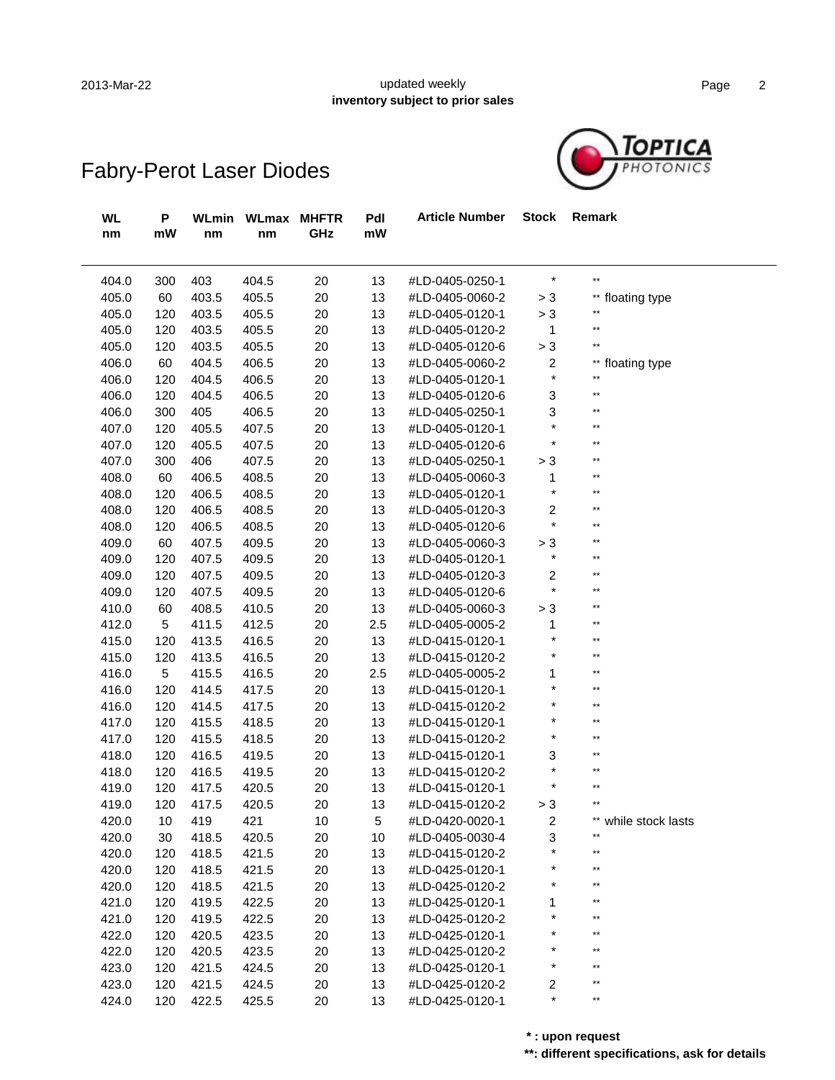### 2013-Mar-22 **Example 2** updated weekly **notice** and the Page 2 **inventory subject to prior sales**

| <b>WL</b><br>nm | P<br>mW | WLmin<br>nm | WLmax<br>nm | <b>MHFTR</b><br>GHz | Pdl<br>mW | <b>Article Number</b> | <b>Stock</b>   | Remark               |
|-----------------|---------|-------------|-------------|---------------------|-----------|-----------------------|----------------|----------------------|
| 404.0           | 300     | 403         | 404.5       | 20                  | 13        | #LD-0405-0250-1       | $\star$        | $\star\star$         |
| 405.0           | 60      | 403.5       | 405.5       | 20                  | 13        | #LD-0405-0060-2       | $> 3$          | ** floating type     |
| 405.0           | 120     | 403.5       | 405.5       | 20                  | 13        | #LD-0405-0120-1       | $> 3$          | **                   |
| 405.0           | 120     | 403.5       | 405.5       | 20                  | 13        | #LD-0405-0120-2       | $\mathbf{1}$   | $\star\star$         |
| 405.0           | 120     | 403.5       | 405.5       | 20                  | 13        | #LD-0405-0120-6       | $> 3$          | **                   |
| 406.0           | 60      | 404.5       | 406.5       | 20                  | 13        | #LD-0405-0060-2       | $\overline{c}$ | ** floating type     |
| 406.0           | 120     | 404.5       | 406.5       | 20                  | 13        | #LD-0405-0120-1       | $\star$        | $\star\star$         |
| 406.0           | 120     | 404.5       | 406.5       | 20                  | 13        | #LD-0405-0120-6       | 3              | $\star\star$         |
| 406.0           | 300     | 405         | 406.5       | 20                  | 13        | #LD-0405-0250-1       | 3              | **                   |
| 407.0           | 120     | 405.5       | 407.5       | 20                  | 13        | #LD-0405-0120-1       | $\star$        | $\star\star$         |
| 407.0           | 120     | 405.5       | 407.5       | 20                  | 13        | #LD-0405-0120-6       | $\star$        | **                   |
| 407.0           | 300     | 406         | 407.5       | 20                  | 13        | #LD-0405-0250-1       | $> 3$          | **                   |
| 408.0           | 60      | 406.5       | 408.5       | 20                  | 13        | #LD-0405-0060-3       | 1              | $\star\star$         |
| 408.0           | 120     | 406.5       | 408.5       | 20                  | 13        | #LD-0405-0120-1       | $\star$        | $\star\star$         |
| 408.0           | 120     | 406.5       | 408.5       | 20                  | 13        | #LD-0405-0120-3       | 2              | $**$                 |
| 408.0           | 120     | 406.5       | 408.5       | 20                  | 13        | #LD-0405-0120-6       | $\star$        | **                   |
| 409.0           | 60      | 407.5       | 409.5       | 20                  | 13        | #LD-0405-0060-3       | $> 3$          | **                   |
| 409.0           | 120     | 407.5       | 409.5       | 20                  | 13        | #LD-0405-0120-1       | $\star$        | $**$                 |
| 409.0           | 120     | 407.5       | 409.5       | 20                  | 13        | #LD-0405-0120-3       | 2              | **                   |
| 409.0           | 120     | 407.5       | 409.5       | 20                  | 13        | #LD-0405-0120-6       | $\star$        | **                   |
| 410.0           | 60      | 408.5       | 410.5       | 20                  | 13        | #LD-0405-0060-3       | $> 3$          | **                   |
| 412.0           | 5       | 411.5       | 412.5       | 20                  | 2.5       | #LD-0405-0005-2       | 1              | **                   |
| 415.0           | 120     | 413.5       | 416.5       | 20                  | 13        | #LD-0415-0120-1       | $\star$        | **                   |
| 415.0           | 120     | 413.5       | 416.5       | 20                  | 13        | #LD-0415-0120-2       | $^{\star}$     | **                   |
| 416.0           | 5       | 415.5       | 416.5       | 20                  | 2.5       | #LD-0405-0005-2       | 1              | **                   |
| 416.0           | 120     | 414.5       | 417.5       | 20                  | 13        | #LD-0415-0120-1       | $\star$        | **                   |
| 416.0           | 120     | 414.5       | 417.5       | 20                  | 13        | #LD-0415-0120-2       | $^\star$       | **                   |
| 417.0           | 120     | 415.5       | 418.5       | 20                  | 13        | #LD-0415-0120-1       | $\star$        | **                   |
| 417.0           | 120     | 415.5       | 418.5       | 20                  | 13        | #LD-0415-0120-2       | $\ast$         | **                   |
| 418.0           | 120     | 416.5       | 419.5       | 20                  | 13        | #LD-0415-0120-1       | 3              | **                   |
| 418.0           | 120     | 416.5       | 419.5       | 20                  | 13        | #LD-0415-0120-2       | $\star$        | **                   |
| 419.0           | 120     | 417.5       | 420.5       | 20                  | 13        | #LD-0415-0120-1       | $\star$        | **                   |
| 419.0           | 120     | 417.5       | 420.5       | 20                  | 13        | #LD-0415-0120-2       | > 3            | $**$                 |
| 420.0           | 10      | 419         | 421         | 10                  | 5         | #LD-0420-0020-1       | 2              | ** while stock lasts |
| 420.0           | 30      | 418.5       | 420.5       | 20                  | 10        | #LD-0405-0030-4       | 3              | $**$                 |
| 420.0           | 120     | 418.5       | 421.5       | 20                  | 13        | #LD-0415-0120-2       | $\star$        | $\star\star$         |
| 420.0           | 120     | 418.5       | 421.5       | 20                  | 13        | #LD-0425-0120-1       | *              | **                   |
| 420.0           | 120     | 418.5       | 421.5       | 20                  | 13        | #LD-0425-0120-2       | *              | $\star\star$         |
| 421.0           | 120     | 419.5       | 422.5       | 20                  | 13        | #LD-0425-0120-1       | 1              | **                   |
| 421.0           | 120     | 419.5       | 422.5       | 20                  | 13        | #LD-0425-0120-2       | $\star$        | $**$                 |
| 422.0           | 120     | 420.5       | 423.5       | 20                  | 13        | #LD-0425-0120-1       |                | $**$                 |
| 422.0           | 120     | 420.5       | 423.5       | 20                  | 13        | #LD-0425-0120-2       | $^\star$       | $**$                 |
| 423.0           | 120     | 421.5       | 424.5       | 20                  | 13        | #LD-0425-0120-1       | $\star$        | $**$                 |
| 423.0           | 120     | 421.5       | 424.5       | 20                  | 13        | #LD-0425-0120-2       | 2              | $**$                 |
| 424.0           | 120     | 422.5       | 425.5       | 20                  | 13        | #LD-0425-0120-1       | $\star$        | $\star\star$         |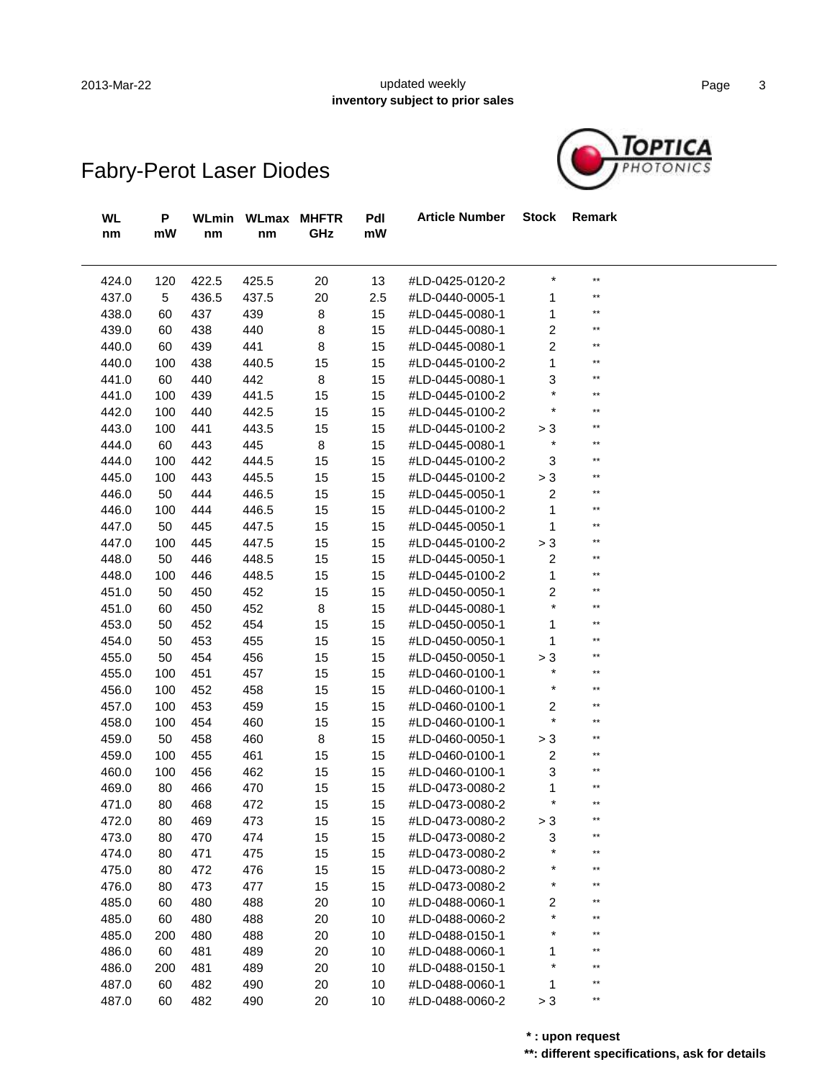ł,

#### 2013-Mar-22 **Example 2013** updated weekly **notice** and the Page 3 **inventory subject to prior sales**



| <b>WL</b><br>nm | P<br>mW | <b>WLmin</b><br>nm | <b>WLmax</b><br>nm | <b>MHFTR</b><br>GHz | Pdl<br>mW | <b>Article Number</b> | <b>Stock</b>              | Remark       |  |
|-----------------|---------|--------------------|--------------------|---------------------|-----------|-----------------------|---------------------------|--------------|--|
| 424.0           | 120     | 422.5              | 425.5              | 20                  | 13        | #LD-0425-0120-2       | $^{\displaystyle\star}$   | $\star\star$ |  |
| 437.0           | 5       | 436.5              | 437.5              | 20                  | 2.5       | #LD-0440-0005-1       | 1                         | $**$         |  |
| 438.0           | 60      | 437                | 439                | 8                   | 15        | #LD-0445-0080-1       | 1                         | $\star\star$ |  |
| 439.0           | 60      | 438                | 440                | 8                   | 15        | #LD-0445-0080-1       | $\overline{c}$            | $\star\star$ |  |
| 440.0           | 60      | 439                | 441                | 8                   | 15        | #LD-0445-0080-1       | $\overline{c}$            | $**$         |  |
| 440.0           | 100     | 438                | 440.5              | 15                  | 15        | #LD-0445-0100-2       | 1                         | $**$         |  |
| 441.0           | 60      | 440                | 442                | 8                   | 15        | #LD-0445-0080-1       | 3                         | $\star\star$ |  |
| 441.0           | 100     | 439                | 441.5              | 15                  | 15        | #LD-0445-0100-2       | $\star$                   | $**$         |  |
| 442.0           | 100     | 440                | 442.5              | 15                  | 15        | #LD-0445-0100-2       | $^{\displaystyle\star}$   | $\star\star$ |  |
| 443.0           | 100     | 441                | 443.5              | 15                  | 15        | #LD-0445-0100-2       | > 3                       | $**$         |  |
| 444.0           | 60      | 443                | 445                | 8                   | 15        | #LD-0445-0080-1       | $^{\displaystyle\star}$   | $**$         |  |
| 444.0           | 100     | 442                | 444.5              | 15                  | 15        | #LD-0445-0100-2       | $\ensuremath{\mathsf{3}}$ | $\star\star$ |  |
| 445.0           | 100     | 443                | 445.5              | 15                  | 15        | #LD-0445-0100-2       | $> 3$                     | $\star\star$ |  |
| 446.0           | 50      | 444                | 446.5              | 15                  | 15        | #LD-0445-0050-1       | $\overline{c}$            | $**$         |  |
| 446.0           | 100     | 444                | 446.5              | 15                  | 15        | #LD-0445-0100-2       | 1                         | $\star\star$ |  |
| 447.0           | 50      | 445                | 447.5              | 15                  | 15        | #LD-0445-0050-1       | $\mathbf{1}$              | $\star\star$ |  |
| 447.0           | 100     | 445                | 447.5              | 15                  | 15        | #LD-0445-0100-2       | $> 3$                     | $**$         |  |
| 448.0           | 50      | 446                | 448.5              | 15                  | 15        | #LD-0445-0050-1       | $\overline{c}$            | $\star\star$ |  |
| 448.0           | 100     | 446                | 448.5              | 15                  | 15        | #LD-0445-0100-2       | $\mathbf{1}$              | $\star\star$ |  |
| 451.0           | 50      | 450                | 452                | 15                  | 15        | #LD-0450-0050-1       | $\overline{c}$            | $\star\star$ |  |
| 451.0           | 60      | 450                | 452                | 8                   | 15        | #LD-0445-0080-1       | $\star$                   | $\star\star$ |  |
| 453.0           | 50      | 452                | 454                | 15                  | 15        | #LD-0450-0050-1       | 1                         | $**$         |  |
| 454.0           | 50      | 453                | 455                | 15                  | 15        | #LD-0450-0050-1       | 1                         | $\star\star$ |  |
| 455.0           | 50      | 454                | 456                | 15                  | 15        | #LD-0450-0050-1       | > 3                       | $\star\star$ |  |
| 455.0           | 100     | 451                | 457                | 15                  | 15        | #LD-0460-0100-1       | $\star$                   | $**$         |  |
| 456.0           | 100     | 452                | 458                | 15                  | 15        | #LD-0460-0100-1       | $^\star$                  | $\star\star$ |  |
| 457.0           | 100     | 453                | 459                | 15                  | 15        | #LD-0460-0100-1       | $\overline{c}$            | $\star\star$ |  |
| 458.0           | 100     | 454                | 460                | 15                  | 15        | #LD-0460-0100-1       | $\star$                   | $\star\star$ |  |
| 459.0           | 50      | 458                | 460                | 8                   | 15        | #LD-0460-0050-1       | > 3                       | $**$         |  |
| 459.0           | 100     | 455                | 461                | 15                  | 15        | #LD-0460-0100-1       | $\boldsymbol{2}$          | $\star\star$ |  |
| 460.0           | 100     | 456                | 462                | 15                  | 15        | #LD-0460-0100-1       | 3                         | $\star\star$ |  |
| 469.0           | 80      | 466                | 470                | 15                  | 15        | #LD-0473-0080-2       | 1                         | $**$         |  |
| 471.0           | 80      | 468                | 472                | 15                  | 15        | #LD-0473-0080-2       | $\star$                   | $\star\star$ |  |
| 472.0           | 80      | 469                | 473                | 15                  | 15        | #LD-0473-0080-2       | > 3                       | $**$         |  |
| 473.0           | 80      | 470                | 474                | 15                  | 15        | #LD-0473-0080-2       | 3                         | $***$        |  |
| 474.0           | 80      | 471                | 475                | 15                  | 15        | #LD-0473-0080-2       |                           | $**$         |  |
| 475.0           | 80      | 472                | 476                | 15                  | 15        | #LD-0473-0080-2       |                           | **           |  |
| 476.0           | 80      | 473                | 477                | 15                  | 15        | #LD-0473-0080-2       |                           | **           |  |
| 485.0           | 60      | 480                | 488                | 20                  | 10        | #LD-0488-0060-1       | 2                         | **           |  |
| 485.0           | 60      | 480                | 488                | 20                  | 10        | #LD-0488-0060-2       |                           | **           |  |
| 485.0           | 200     | 480                | 488                | 20                  | 10        | #LD-0488-0150-1       |                           |              |  |
| 486.0           | 60      | 481                | 489                | 20                  | 10        | #LD-0488-0060-1       |                           |              |  |
| 486.0           | 200     | 481                | 489                | 20                  | 10        | #LD-0488-0150-1       |                           | **           |  |
| 487.0           | 60      | 482                | 490                | 20                  | 10        | #LD-0488-0060-1       | 1                         | **           |  |
| 487.0           | 60      | 482                | 490                | 20                  | 10        | #LD-0488-0060-2       | $> 3$                     | $***$        |  |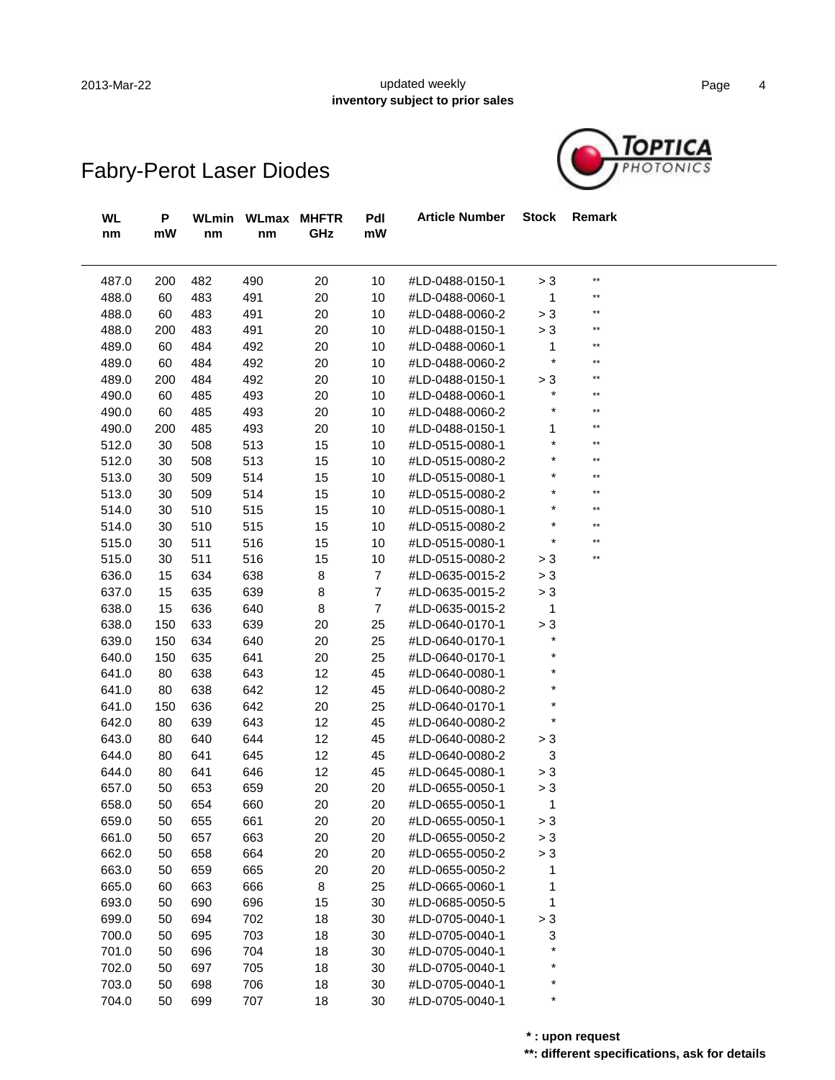### 2013-Mar-22 **Example 2013-Martial Contract Contract Contract Contract Contract Contract Contract Contract Contract Contract Contract Contract Contract Contract Contract Contract Contract Contract Contract Contract Contract inventory subject to prior sales**



| WL<br>nm | P<br>mW | nm  | WLmin WLmax MHFTR<br>nm | GHz | Pdl<br>mW      | <b>Article Number</b> | <b>Stock</b> | Remark       |  |
|----------|---------|-----|-------------------------|-----|----------------|-----------------------|--------------|--------------|--|
| 487.0    | 200     | 482 | 490                     | 20  | 10             | #LD-0488-0150-1       | > 3          | $**$         |  |
| 488.0    | 60      | 483 | 491                     | 20  | 10             | #LD-0488-0060-1       | 1            | $***$        |  |
| 488.0    | 60      | 483 | 491                     | 20  | 10             | #LD-0488-0060-2       | > 3          | $**$         |  |
| 488.0    | 200     | 483 | 491                     | 20  | 10             | #LD-0488-0150-1       | > 3          | **           |  |
| 489.0    | 60      | 484 | 492                     | 20  | 10             | #LD-0488-0060-1       | 1            | $***$        |  |
| 489.0    | 60      | 484 | 492                     | 20  | 10             | #LD-0488-0060-2       | $\ast$       | $\star\star$ |  |
| 489.0    | 200     | 484 | 492                     | 20  | 10             | #LD-0488-0150-1       | > 3          | $***$        |  |
| 490.0    | 60      | 485 | 493                     | 20  | 10             | #LD-0488-0060-1       | $^\star$     | $\star\star$ |  |
| 490.0    | 60      | 485 | 493                     | 20  | 10             | #LD-0488-0060-2       |              | $\star\star$ |  |
| 490.0    | 200     | 485 | 493                     | 20  | 10             | #LD-0488-0150-1       | 1            | $\star\star$ |  |
| 512.0    | 30      | 508 | 513                     | 15  | 10             | #LD-0515-0080-1       | $\ast$       | $\star\star$ |  |
| 512.0    | 30      | 508 | 513                     | 15  | 10             | #LD-0515-0080-2       |              | $\star\star$ |  |
| 513.0    | 30      | 509 | 514                     | 15  | 10             | #LD-0515-0080-1       |              | $\star\star$ |  |
| 513.0    | 30      | 509 | 514                     | 15  | 10             | #LD-0515-0080-2       |              | $\star\star$ |  |
| 514.0    | 30      | 510 | 515                     | 15  | 10             | #LD-0515-0080-1       |              | $\star\star$ |  |
| 514.0    | 30      | 510 | 515                     | 15  | 10             | #LD-0515-0080-2       | $\ast$       | $\star\star$ |  |
| 515.0    | 30      | 511 | 516                     | 15  | 10             | #LD-0515-0080-1       | $\ast$       | $**$         |  |
| 515.0    | 30      | 511 | 516                     | 15  | 10             | #LD-0515-0080-2       | > 3          | **           |  |
| 636.0    | 15      | 634 | 638                     | 8   | $\overline{7}$ | #LD-0635-0015-2       | > 3          |              |  |
| 637.0    | 15      | 635 | 639                     | 8   | $\overline{7}$ | #LD-0635-0015-2       | > 3          |              |  |
| 638.0    | 15      | 636 | 640                     | 8   | $\overline{7}$ | #LD-0635-0015-2       | 1            |              |  |
| 638.0    | 150     | 633 | 639                     | 20  | 25             | #LD-0640-0170-1       | > 3          |              |  |
| 639.0    | 150     | 634 | 640                     | 20  | 25             | #LD-0640-0170-1       | $\star$      |              |  |
| 640.0    | 150     | 635 | 641                     | 20  | 25             | #LD-0640-0170-1       |              |              |  |
| 641.0    | 80      | 638 | 643                     | 12  | 45             | #LD-0640-0080-1       |              |              |  |
| 641.0    | 80      | 638 | 642                     | 12  | 45             | #LD-0640-0080-2       |              |              |  |
| 641.0    | 150     | 636 | 642                     | 20  | 25             | #LD-0640-0170-1       |              |              |  |
| 642.0    | 80      | 639 | 643                     | 12  | 45             | #LD-0640-0080-2       | $\ast$       |              |  |
| 643.0    | 80      | 640 | 644                     | 12  | 45             | #LD-0640-0080-2       | > 3          |              |  |
| 644.0    | 80      | 641 | 645                     | 12  | 45             | #LD-0640-0080-2       | 3            |              |  |
| 644.0    | 80      | 641 | 646                     | 12  | 45             | #LD-0645-0080-1       | > 3          |              |  |
| 657.0    | 50      | 653 | 659                     | 20  | 20             | #LD-0655-0050-1       | > 3          |              |  |
| 658.0    | 50      | 654 | 660                     | 20  | 20             | #LD-0655-0050-1       | 1            |              |  |
| 659.0    | 50      | 655 | 661                     | 20  | 20             | #LD-0655-0050-1       | > 3          |              |  |
| 661.0    | 50      | 657 | 663                     | 20  | 20             | #LD-0655-0050-2       | > 3          |              |  |
| 662.0    | 50      | 658 | 664                     | 20  | 20             | #LD-0655-0050-2       | > 3          |              |  |
| 663.0    | 50      | 659 | 665                     | 20  | 20             | #LD-0655-0050-2       | 1            |              |  |
| 665.0    | 60      | 663 | 666                     | 8   | 25             | #LD-0665-0060-1       | 1            |              |  |
| 693.0    | 50      | 690 | 696                     | 15  | 30             | #LD-0685-0050-5       | 1            |              |  |
| 699.0    | 50      | 694 | 702                     | 18  | 30             | #LD-0705-0040-1       | > 3          |              |  |
| 700.0    | 50      | 695 | 703                     | 18  | 30             | #LD-0705-0040-1       | 3            |              |  |
| 701.0    | 50      | 696 | 704                     | 18  | 30             | #LD-0705-0040-1       |              |              |  |
| 702.0    | 50      | 697 | 705                     | 18  | 30             | #LD-0705-0040-1       |              |              |  |
| 703.0    | 50      | 698 | 706                     | 18  | 30             | #LD-0705-0040-1       |              |              |  |
| 704.0    | 50      | 699 | 707                     | 18  | 30             | #LD-0705-0040-1       | $\ast$       |              |  |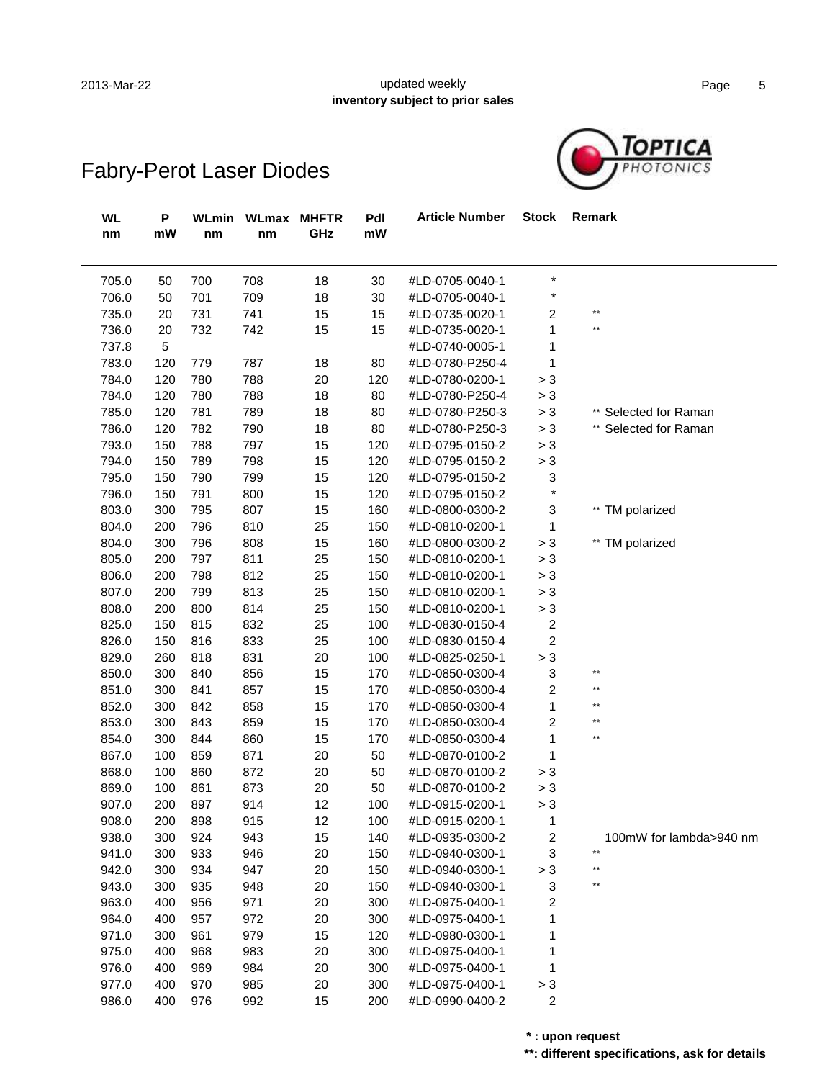#### 2013-Mar-22 **Example 2013-Martial Contract Contract Contract Contract Contract Contract Contract Contract Contract Contract Contract Contract Contract Contract Contract Contract Contract Contract Contract Contract Contract inventory subject to prior sales**



# Fabry-Perot Laser Diodes

| <b>WL</b><br>nm | P<br>mW | <b>WLmin</b><br>nm | <b>WLmax</b><br>nm | <b>MHFTR</b><br>GHz | Pdl<br>$\mathsf{m}\mathsf{W}$ | <b>Article Number</b> | <b>Stock</b>            | Remark                        |
|-----------------|---------|--------------------|--------------------|---------------------|-------------------------------|-----------------------|-------------------------|-------------------------------|
| 705.0           | 50      | 700                | 708                | 18                  | 30                            | #LD-0705-0040-1       | $\star$                 |                               |
| 706.0           | 50      | 701                | 709                | 18                  | 30                            | #LD-0705-0040-1       | $\ast$                  |                               |
| 735.0           | 20      | 731                | 741                | 15                  | 15                            | #LD-0735-0020-1       | $\overline{\mathbf{c}}$ | $\star\star$                  |
| 736.0           | 20      | 732                | 742                | 15                  | 15                            | #LD-0735-0020-1       | 1                       | $\star\star$                  |
| 737.8           | 5       |                    |                    |                     |                               | #LD-0740-0005-1       | 1                       |                               |
| 783.0           | 120     | 779                | 787                | 18                  | 80                            | #LD-0780-P250-4       | 1                       |                               |
| 784.0           | 120     | 780                | 788                | 20                  | 120                           | #LD-0780-0200-1       | > 3                     |                               |
| 784.0           | 120     | 780                | 788                | 18                  | 80                            | #LD-0780-P250-4       | > 3                     |                               |
| 785.0           | 120     | 781                | 789                | $18$                | 80                            | #LD-0780-P250-3       | $> 3$                   | ** Selected for Raman         |
| 786.0           | 120     | 782                | 790                | $18$                | 80                            | #LD-0780-P250-3       | $> 3$                   | ** Selected for Raman         |
| 793.0           | 150     | 788                | 797                | 15                  | 120                           | #LD-0795-0150-2       | $> 3$                   |                               |
| 794.0           | 150     | 789                | 798                | 15                  | 120                           | #LD-0795-0150-2       | $> 3$                   |                               |
| 795.0           | 150     | 790                | 799                | 15                  | 120                           | #LD-0795-0150-2       | 3                       |                               |
| 796.0           | 150     | 791                | 800                | 15                  | 120                           | #LD-0795-0150-2       | $\star$                 |                               |
| 803.0           | 300     | 795                | 807                | 15                  | 160                           | #LD-0800-0300-2       | 3                       | ** TM polarized               |
| 804.0           | 200     | 796                | 810                | 25                  | 150                           | #LD-0810-0200-1       | $\mathbf{1}$            |                               |
| 804.0           | 300     | 796                | 808                | 15                  | 160                           | #LD-0800-0300-2       | $> 3$                   | ** TM polarized               |
| 805.0           | 200     | 797                | 811                | 25                  | 150                           | #LD-0810-0200-1       | $> 3$                   |                               |
| 806.0           | 200     | 798                | 812                | 25                  | 150                           | #LD-0810-0200-1       | $> 3$                   |                               |
| 807.0           | 200     | 799                | 813                | 25                  | 150                           | #LD-0810-0200-1       | $> 3$                   |                               |
| 808.0           | 200     | 800                | 814                | 25                  | 150                           | #LD-0810-0200-1       | $> 3$                   |                               |
| 825.0           | 150     | 815                | 832                | 25                  | 100                           | #LD-0830-0150-4       | $\overline{\mathbf{c}}$ |                               |
| 826.0           | 150     | 816                | 833                | 25                  | 100                           | #LD-0830-0150-4       | $\overline{c}$          |                               |
| 829.0           | 260     | 818                | 831                | 20                  | 100                           | #LD-0825-0250-1       | > 3                     |                               |
| 850.0           | 300     | 840                | 856                | 15                  | 170                           | #LD-0850-0300-4       | 3                       | **                            |
| 851.0           | 300     | 841                | 857                | 15                  | 170                           | #LD-0850-0300-4       | $\overline{\mathbf{c}}$ | **                            |
| 852.0           | 300     | 842                | 858                | 15                  | 170                           | #LD-0850-0300-4       | $\mathbf{1}$            | **                            |
| 853.0           | 300     | 843                | 859                | 15                  | 170                           | #LD-0850-0300-4       | $\overline{\mathbf{c}}$ | **                            |
| 854.0           | 300     | 844                | 860                | 15                  | 170                           | #LD-0850-0300-4       | 1                       | $\star\star$                  |
| 867.0           | 100     | 859                | 871                | 20                  | 50                            | #LD-0870-0100-2       | 1                       |                               |
| 868.0           | 100     | 860                | 872                | 20                  | 50                            | #LD-0870-0100-2       | $> 3$                   |                               |
| 869.0           | 100     | 861                | 873                | 20                  | 50                            | #LD-0870-0100-2       | > 3                     |                               |
| 907.0           | 200     | 897                | 914                | 12                  | 100                           | #LD-0915-0200-1       | > 3                     |                               |
| 908.0           | 200     | 898                | 915                | 12                  | 100                           | #LD-0915-0200-1       | 1                       |                               |
| 938.0           | 300     | 924                | 943                | 15                  | 140                           | #LD-0935-0300-2       | 2                       | 100mW for lambda>940 nm<br>** |
| 941.0           | 300     | 933                | 946                | 20                  | 150                           | #LD-0940-0300-1       | 3                       |                               |
| 942.0           | 300     | 934                | 947                | 20                  | 150                           | #LD-0940-0300-1       | > 3                     | **                            |
| 943.0           | 300     | 935                | 948                | 20                  | 150                           | #LD-0940-0300-1       | 3                       |                               |
| 963.0           | 400     | 956                | 971                | 20                  | 300                           | #LD-0975-0400-1       | 2                       |                               |
| 964.0           | 400     | 957                | 972                | 20                  | 300                           | #LD-0975-0400-1       | 1                       |                               |
| 971.0           | 300     | 961                | 979                | 15                  | 120                           | #LD-0980-0300-1       | 1                       |                               |
| 975.0           | 400     | 968                | 983                | 20                  | 300                           | #LD-0975-0400-1       | 1                       |                               |
| 976.0           | 400     | 969                | 984                | 20                  | 300                           | #LD-0975-0400-1       | 1                       |                               |
| 977.0           | 400     | 970                | 985                | 20                  | 300                           | #LD-0975-0400-1       | > 3                     |                               |
| 986.0           | 400     | 976                | 992                | 15                  | 200                           | #LD-0990-0400-2       | $\overline{\mathbf{c}}$ |                               |

**\*\*: different specifications, ask for details \* : upon request**